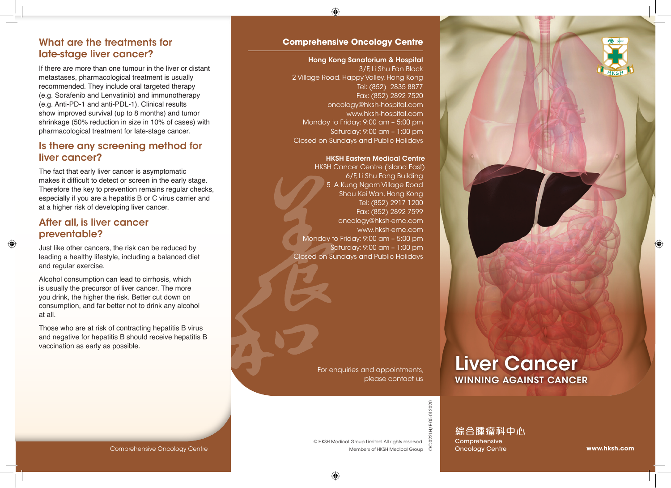

### What are the treatments for late-stage liver cancer?

If there are more than one tumour in the liver or distant metastases, pharmacological treatment is usually recommended. They include oral targeted therapy (e.g. Sorafenib and Lenvatinib) and immunotherapy (e.g. Anti-PD-1 and anti-PDL-1). Clinical results show improved survival (up to 8 months) and tumor shrinkage (50% reduction in size in 10% of cases) with pharmacological treatment for late-stage cancer.

### Is there any screening method for liver cancer?

The fact that early liver cancer is asymptomatic makes it difficult to detect or screen in the early stage. Therefore the key to prevention remains regular checks, especially if you are a hepatitis B or C virus carrier and at a higher risk of developing liver cancer.

### After all, is liver cancer preventable?

Just like other cancers, the risk can be reduced by leading a healthy lifestyle, including a balanced diet and regular exercise.

Alcohol consumption can lead to cirrhosis, which is usually the precursor of liver cancer. The more you drink, the higher the risk. Better cut down on consumption, and far better not to drink any alcohol at all.

Those who are at risk of contracting hepatitis B virus and negative for hepatitis B should receive hepatitis B vaccination as early as possible.

### **Comprehensive Oncology Centre**

### Hong Kong Sanatorium & Hospital

3/F, Li Shu Fan Block 2 Village Road, Happy Valley, Hong Kong Tel: (852) 2835 8877 Fax: (852) 2892 7520 oncology@hksh-hospital.com www.hksh-hospital.com Monday to Friday: 9:00 am – 5:00 pm Saturday: 9:00 am – 1:00 pm Closed on Sundays and Public Holidays

### HKSH Eastern Medical Centre

HKSH Cancer Centre (Island East) 6/F, Li Shu Fong Building 5 A Kung Ngam Village Road Shau Kei Wan, Hong Kong Tel: (852) 2917 1200 Fax: (852) 2892 7599 oncology@hksh-emc.com www.hksh-emc.com Monday to Friday: 9:00 am – 5:00 pm Saturday: 9:00 am – 1:00 pm Closed on Sundays and Public Holidays

> For enquiries and appointments, please contact us

© HKSH Medical Group Limited. All rights reserved.

Members of HKSH Medical Group

# Liver Cancer WINNING AGAINST CANCER

0221.H/E-05-012020 OC.022I.H/E-05-012020 ပ္လ

綜合腫瘤科中心 **Comprehensive Oncology Centre** 

#### Comprehensive Oncology Centre